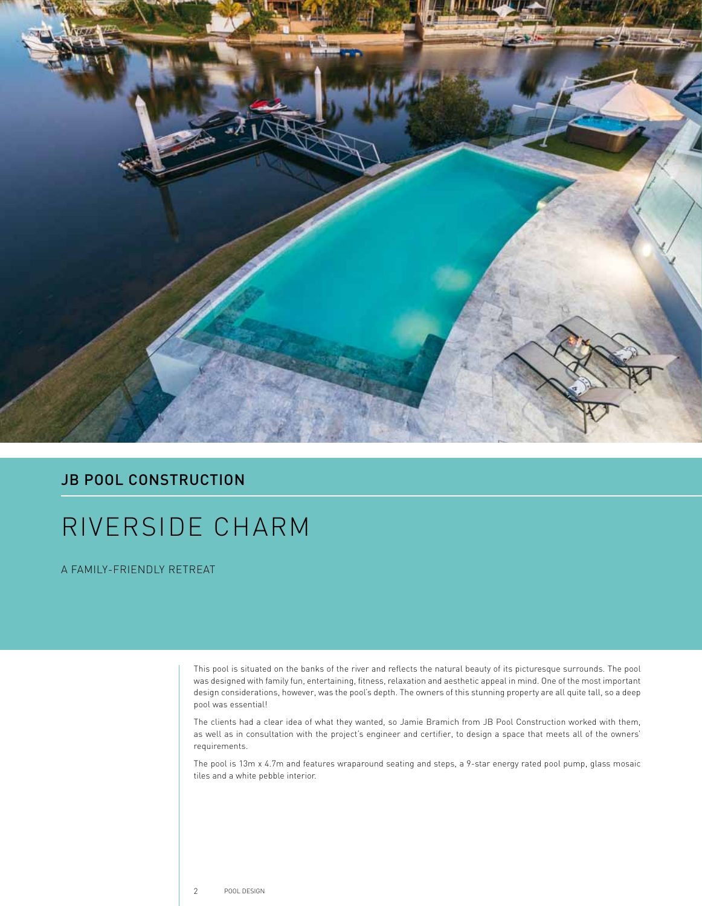

## **JB POOL CONSTRUCTION**

## RIVERSIDE CHARM

A FAMILY-FRIENDLY RETREAT

This pool is situated on the banks of the river and reflects the natural beauty of its picturesque surrounds. The pool was designed with family fun, entertaining, fitness, relaxation and aesthetic appeal in mind. One of the most important design considerations, however, was the pool's depth. The owners of this stunning property are all quite tall, so a deep pool was essential!

The clients had a clear idea of what they wanted, so Jamie Bramich from JB Pool Construction worked with them, as well as in consultation with the project's engineer and certifier, to design a space that meets all of the owners' requirements.

The pool is 13m x 4.7m and features wraparound seating and steps, a 9-star energy rated pool pump, glass mosaic tiles and a white pebble interior.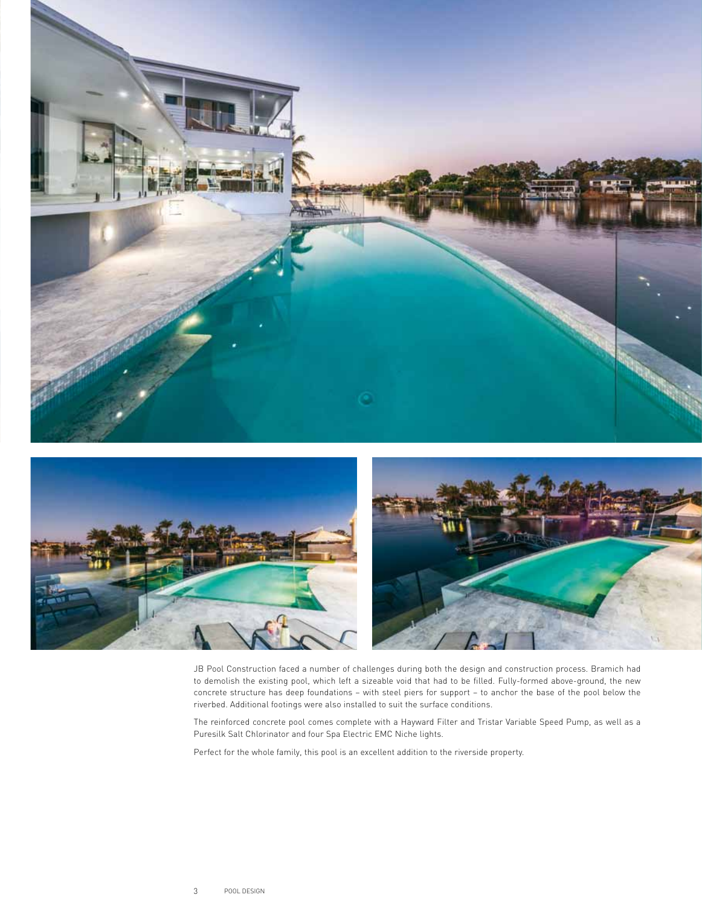



JB Pool Construction faced a number of challenges during both the design and construction process. Bramich had to demolish the existing pool, which left a sizeable void that had to be filled. Fully-formed above-ground, the new concrete structure has deep foundations – with steel piers for support – to anchor the base of the pool below the riverbed. Additional footings were also installed to suit the surface conditions.

The reinforced concrete pool comes complete with a Hayward Filter and Tristar Variable Speed Pump, as well as a Puresilk Salt Chlorinator and four Spa Electric EMC Niche lights.

Perfect for the whole family, this pool is an excellent addition to the riverside property.